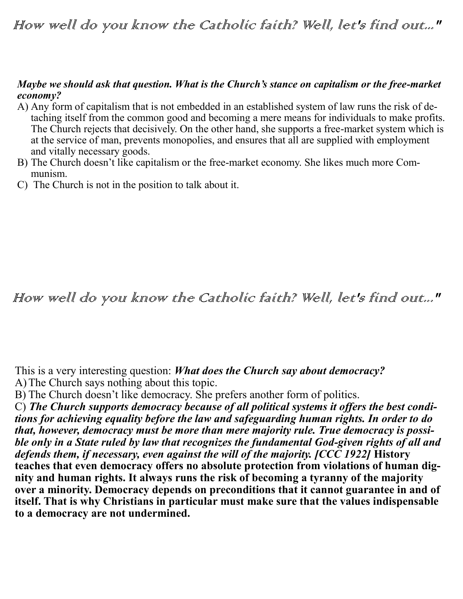## How well do you know the Catholic faith? Well, let's find out..."

### *Maybe we should ask that question. What is the Church's stance on capitalism or the free-market economy?*

- A) Any form of capitalism that is not embedded in an established system of law runs the risk of detaching itself from the common good and becoming a mere means for individuals to make profits. The Church rejects that decisively. On the other hand, she supports a free-market system which is at the service of man, prevents monopolies, and ensures that all are supplied with employment and vitally necessary goods.
- B) The Church doesn't like capitalism or the free-market economy. She likes much more Communism.
- C) The Church is not in the position to talk about it.

### How well do you know the Catholic faith? Well, let's find out..."

This is a very interesting question: *What does the Church say about democracy?* A)The Church says nothing about this topic.

B) The Church doesn't like democracy. She prefers another form of politics.

C) *The Church supports democracy because of all political systems it offers the best conditions for achieving equality before the law and safeguarding human rights. In order to do that, however, democracy must be more than mere majority rule. True democracy is possible only in a State ruled by law that recognizes the fundamental God-given rights of all and defends them, if necessary, even against the will of the majority. [CCC 1922]* **History teaches that even democracy offers no absolute protection from violations of human dignity and human rights. It always runs the risk of becoming a tyranny of the majority over a minority. Democracy depends on preconditions that it cannot guarantee in and of itself. That is why Christians in particular must make sure that the values indispensable to a democracy are not undermined.**